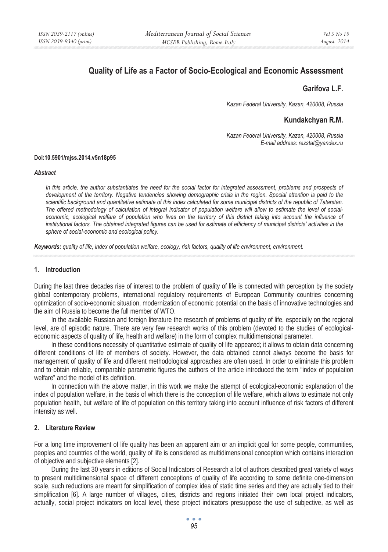# **Quality of Life as a Factor of Socio-Ecological and Economic Assessment**

# **Garifova L.F.**

*Kazan Federal University, Kazan, 420008, Russia* 

# **Kundakchyan R.M.**

*Kazan Federal University, Kazan, 420008, Russia E-mail address: rezstat@yandex.ru* 

#### **Doi:10.5901/mjss.2014.v5n18p95**

#### *Abstract*

In this article, the author substantiates the need for the social factor for integrated assessment, problems and prospects of *development of the territory. Negative tendencies showing demographic crisis in the region. Special attention is paid to the scientific background and quantitative estimate of this index calculated for some municipal districts of the republic of Tatarstan. The offered methodology of calculation of integral indicator of population welfare will allow to estimate the level of social*economic, ecological welfare of population who lives on the territory of this district taking into account the influence of institutional factors. The obtained integrated figures can be used for estimate of efficiency of municipal districts' activities in the *sphere of social-economic and ecological policy.* 

*Keywords: quality of life, index of population welfare, ecology, risk factors, quality of life environment, environment.*

#### **1. Introduction**

During the last three decades rise of interest to the problem of quality of life is connected with perception by the society global contemporary problems, international regulatory requirements of European Community countries concerning optimization of socio-economic situation, modernization of economic potential on the basis of innovative technologies and the aim of Russia to become the full member of WTO.

In the available Russian and foreign literature the research of problems of quality of life, especially on the regional level, are of episodic nature. There are very few research works of this problem (devoted to the studies of ecologicaleconomic aspects of quality of life, health and welfare) in the form of complex multidimensional parameter.

In these conditions necessity of quantitative estimate of quality of life appeared; it allows to obtain data concerning different conditions of life of members of society. However, the data obtained cannot always become the basis for management of quality of life and different methodological approaches are often used. In order to eliminate this problem and to obtain reliable, comparable parametric figures the authors of the article introduced the term "index of population welfare" and the model of its definition.

In connection with the above matter, in this work we make the attempt of ecological-economic explanation of the index of population welfare, in the basis of which there is the conception of life welfare, which allows to estimate not only population health, but welfare of life of population on this territory taking into account influence of risk factors of different intensity as well.

# **2. Literature Review**

For a long time improvement of life quality has been an apparent aim or an implicit goal for some people, communities, peoples and countries of the world, quality of life is considered as multidimensional conception which contains interaction of objective and subjective elements [2].

During the last 30 years in editions of Social Indicators of Research a lot of authors described great variety of ways to present multidimensional space of different conceptions of quality of life according to some definite one-dimension scale, such reductions are meant for simplification of complex idea of static time series and they are actually tied to their simplification [6]. A large number of villages, cities, districts and regions initiated their own local project indicators, actually, social project indicators on local level, these project indicators presuppose the use of subjective, as well as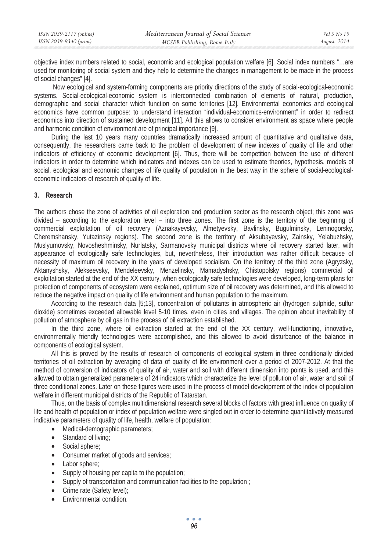| ISSN 2039-2117 (online) | Mediterranean Journal of Social Sciences | Vol 5 No 18 |
|-------------------------|------------------------------------------|-------------|
| ISSN 2039-9340 (print)  | MCSER Publishing, Rome-Italy             | August 2014 |
|                         |                                          |             |

objective index numbers related to social, economic and ecological population welfare [6]. Social index numbers "…are used for monitoring of social system and they help to determine the changes in management to be made in the process of social changes" [4].

 Now ecological and system-forming components are priority directions of the study of social-ecological-economic systems. Social-ecological-economic system is interconnected combination of elements of natural, production, demographic and social character which function on some territories [12]. Environmental economics and ecological economics have common purpose: to understand interaction "individual-economics-environment" in order to redirect economics into direction of sustained development [11]. All this allows to consider environment as space where people and harmonic condition of environment are of principal importance [9].

During the last 10 years many countries dramatically increased amount of quantitative and qualitative data, consequently, the researchers came back to the problem of development of new indexes of quality of life and other indicators of efficiency of economic development [6]. Thus, there will be competition between the use of different indicators in order to determine which indicators and indexes can be used to estimate theories, hypothesis, models of social, ecological and economic changes of life quality of population in the best way in the sphere of social-ecologicaleconomic indicators of research of quality of life.

## **3. Research**

The authors chose the zone of activities of oil exploration and production sector as the research object; this zone was divided – according to the exploration level – into three zones. The first zone is the territory of the beginning of commercial exploitation of oil recovery (Aznakayevsky, Almetyevsky, Bavlinsky, Bugulminsky, Leninogorsky, Cheremshansky, Yutazinsky regions). The second zone is the territory of Aksubayevsky, Zainsky, Yelabuzhsky, Muslyumovsky, Novosheshminsky, Nurlatsky, Sarmanovsky municipal districts where oil recovery started later, with appearance of ecologically safe technologies, but, nevertheless, their introduction was rather difficult because of necessity of maximum oil recovery in the years of developed socialism. On the territory of the third zone (Agryzsky, Aktanyshsky, Alekseevsky, Mendeleevsky, Menzelinsky, Mamadyshsky, Chistopolsky regions) commercial oil exploitation started at the end of the XX century, when ecologically safe technologies were developed, long-term plans for protection of components of ecosystem were explained, optimum size of oil recovery was determined, and this allowed to reduce the negative impact on quality of life environment and human population to the maximum.

According to the research data [5;13], concentration of pollutants in atmospheric air (hydrogen sulphide, sulfur dioxide) sometimes exceeded allowable level 5-10 times, even in cities and villages. The opinion about inevitability of pollution of atmosphere by oil gas in the process of oil extraction established.

In the third zone, where oil extraction started at the end of the XX century, well-functioning, innovative, environmentally friendly technologies were accomplished, and this allowed to avoid disturbance of the balance in components of ecological system.

All this is proved by the results of research of components of ecological system in three conditionally divided territories of oil extraction by averaging of data of quality of life environment over a period of 2007-2012. At that the method of conversion of indicators of quality of air, water and soil with different dimension into points is used, and this allowed to obtain generalized parameters of 24 indicators which characterize the level of pollution of air, water and soil of three conditional zones. Later on these figures were used in the process of model development of the index of population welfare in different municipal districts of the Republic of Tatarstan.

Thus, on the basis of complex multidimensional research several blocks of factors with great influence on quality of life and health of population or index of population welfare were singled out in order to determine quantitatively measured indicative parameters of quality of life, health, welfare of population:

- Medical-demographic parameters;
- Standard of living;
- Social sphere;
- Consumer market of goods and services;
- Labor sphere;
- Supply of housing per capita to the population;
- Supply of transportation and communication facilities to the population ;
- Crime rate (Safety level):
- Environmental condition.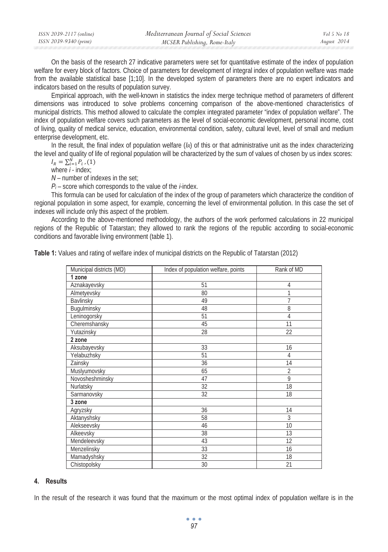| ISSN 2039-2117 (online) | Mediterranean Journal of Social Sciences | Vol 5 No 18 |
|-------------------------|------------------------------------------|-------------|
| ISSN 2039-9340 (print)  | MCSER Publishing, Rome-Italy             | August 2014 |

On the basis of the research 27 indicative parameters were set for quantitative estimate of the index of population welfare for every block of factors. Choice of parameters for development of integral index of population welfare was made from the available statistical base [1;10]. In the developed system of parameters there are no expert indicators and indicators based on the results of population survey.

Empirical approach, with the well-known in statistics the index merge technique method of parameters of different dimensions was introduced to solve problems concerning comparison of the above-mentioned characteristics of municipal districts. This method allowed to calculate the complex integrated parameter "index of population welfare". The index of population welfare covers such parameters as the level of social-economic development, personal income, cost of living, quality of medical service, education, environmental condition, safety, cultural level, level of small and medium enterprise development, etc.

In the result, the final index of population welfare (*IR*) of this or that administrative unit as the index characterizing the level and quality of life of regional population will be characterized by the sum of values of chosen by us index scores:

 $I_R = \sum_{i=1}^{N} P_i$ , (1)

where *i* - index;

*N* – number of indexes in the set;

*Pi* – score which corresponds to the value of the *i*-index.

This formula can be used for calculation of the index of the group of parameters which characterize the condition of regional population in some aspect, for example, concerning the level of environmental pollution. In this case the set of indexes will include only this aspect of the problem.

According to the above-mentioned methodology, the authors of the work performed calculations in 22 municipal regions of the Republic of Tatarstan; they allowed to rank the regions of the republic according to social-economic conditions and favorable living environment (table 1).

**Table 1:** Values and rating of welfare index of municipal districts on the Republic of Tatarstan (2012)

| Municipal districts (MD) | Index of population welfare, points | Rank of MD     |
|--------------------------|-------------------------------------|----------------|
| 1 zone                   |                                     |                |
| Aznakayevsky             | 51                                  | 4              |
| Almetyevsky              | 80                                  | 1              |
| Bavlinsky                | 49                                  | 7              |
| Bugulminsky              | 48                                  | 8              |
| Leninogorsky             | 51                                  | 4              |
| Cheremshansky            | 45                                  | 11             |
| Yutazinsky               | 28                                  | 22             |
| 2 zone                   |                                     |                |
| Aksubayevsky             | 33                                  | 16             |
| Yelabuzhsky              | 51                                  | 4              |
| Zainsky                  | 36                                  | 14             |
| Muslyumovsky             | 65                                  | $\overline{2}$ |
| Novosheshminsky          | 47                                  | 9              |
| Nurlatsky                | 32                                  | 18             |
| Sarmanovsky              | 32                                  | 18             |
| 3 zone                   |                                     |                |
| Agryzsky                 | 36                                  | 14             |
| Aktanyshsky              | 58                                  | $\overline{3}$ |
| Alekseevsky              | 46                                  | 10             |
| Alkeevsky                | 38                                  | 13             |
| Mendeleevsky             | 43                                  | 12             |
| Menzelinsky              | 33                                  | 16             |
| Mamadyshsky              | 32                                  | 18             |
| Chistopolsky             | 30                                  | 21             |

### **4. Results**

In the result of the research it was found that the maximum or the most optimal index of population welfare is in the

 $\bullet$   $\bullet$   $\bullet$ *97*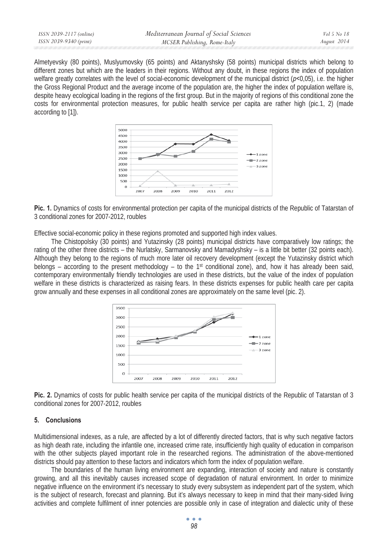| ISSN 2039-2117 (online) | Mediterranean Journal of Social Sciences | Vol 5 No 18 |
|-------------------------|------------------------------------------|-------------|
| ISSN 2039-9340 (print)  | MCSER Publishing, Rome-Italy             | August 2014 |

Almetyevsky (80 points), Muslyumovsky (65 points) and Aktanyshsky (58 points) municipal districts which belong to different zones but which are the leaders in their regions. Without any doubt, in these regions the index of population welfare greatly correlates with the level of social-economic development of the municipal district (*p<*0,05), i.e. the higher the Gross Regional Product and the average income of the population are, the higher the index of population welfare is, despite heavy ecological loading in the regions of the first group. But in the majority of regions of this conditional zone the costs for environmental protection measures, for public health service per capita are rather high (pic.1, 2) (made according to [1]).



**Pic. 1.** Dynamics of costs for environmental protection per capita of the municipal districts of the Republic of Tatarstan of 3 conditional zones for 2007-2012, roubles

Effective social-economic policy in these regions promoted and supported high index values.

The Chistopolsky (30 points) and Yutazinsky (28 points) municipal districts have comparatively low ratings; the rating of the other three districts – the Nurlatsky, Sarmanovsky and Mamadyshsky – is a little bit better (32 points each). Although they belong to the regions of much more later oil recovery development (except the Yutazinsky district which belongs – according to the present methodology – to the  $1<sup>st</sup>$  conditional zone), and, how it has already been said, contemporary environmentally friendly technologies are used in these districts, but the value of the index of population welfare in these districts is characterized as raising fears. In these districts expenses for public health care per capita grow annually and these expenses in all conditional zones are approximately on the same level (pic. 2).



**Pic. 2.** Dynamics of costs for public health service per capita of the municipal districts of the Republic of Tatarstan of 3 conditional zones for 2007-2012, roubles

#### **5. Conclusions**

Multidimensional indexes, as a rule, are affected by a lot of differently directed factors, that is why such negative factors as high death rate, including the infantile one, increased crime rate, insufficiently high quality of education in comparison with the other subjects played important role in the researched regions. The administration of the above-mentioned districts should pay attention to these factors and indicators which form the index of population welfare.

The boundaries of the human living environment are expanding, interaction of society and nature is constantly growing, and all this inevitably causes increased scope of degradation of natural environment. In order to minimize negative influence on the environment it's necessary to study every subsystem as independent part of the system, which is the subject of research, forecast and planning. But it's always necessary to keep in mind that their many-sided living activities and complete fulfilment of inner potencies are possible only in case of integration and dialectic unity of these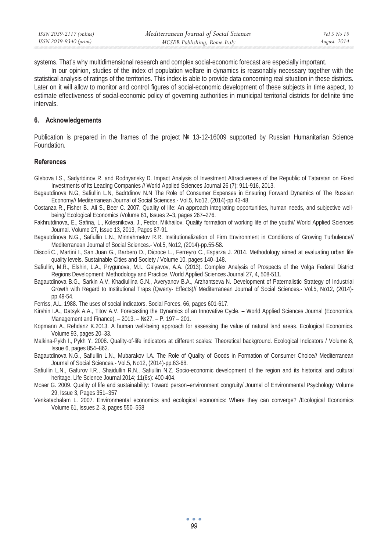systems. That's why multidimensional research and complex social-economic forecast are especially important.

In our opinion, studies of the index of population welfare in dynamics is reasonably necessary together with the statistical analysis of ratings of the territories. This index is able to provide data concerning real situation in these districts. Later on it will allow to monitor and control figures of social-economic development of these subjects in time aspect, to estimate effectiveness of social-economic policy of governing authorities in municipal territorial districts for definite time intervals.

### **6. Acknowledgements**

Publication is prepared in the frames of the project № 13-12-16009 supported by Russian Humanitarian Science Foundation.

### **References**

- Glebova I.S., Sadyrtdinov R. and Rodnyansky D. Impact Analysis of Investment Attractiveness of the Republic of Tatarstan on Fixed Investments of its Leading Companies // World Applied Sciences Journal 26 (7): 911-916, 2013.
- Bagautdinova N.G, Safiullin L.N, Badrtdinov N.N The Role of Consumer Expenses in Ensuring Forward Dynamics of The Russian Economy// Mediterranean Journal of Social Sciences.- Vol.5, No12, (2014)-pp.43-48.
- Costanza R., Fisher B., Ali S., Beer C. 2007. Quality of life: An approach integrating opportunities, human needs, and subjective wellbeing/ Ecological Economics /Volume 61, Issues 2–3, pages 267–276.
- Fakhrutdinova, E., Safina, L., Kolesnikova, J., Fedor, Mikhailov. Quality formation of working life of the youth// World Applied Sciences Journal. Volume 27, Issue 13, 2013, Pages 87-91.
- Bagautdinova N.G., Safiullin L.N., Minnahmetov R.R. Institutionalization of Firm Environment in Conditions of Growing Turbulence// Mediterranean Journal of Social Sciences.- Vol.5, No12, (2014)-pp.55-58.
- Discoli C., Martini I., San Juan G., Barbero D., Dicroce L., Ferreyro C., Esparza J. 2014. Methodology aimed at evaluating urban life quality levels. Sustainable Cities and Society / Volume 10, pages 140–148.
- Safiullin, M.R., Elshin, L.A., Prygunova, M.I., Galyavov, A.A. (2013). Complex Analysis of Prospects of the Volga Federal District Regions Development: Methodology and Practice. World Applied Sciences Journal 27, 4, 508-511.
- Bagautdinova B.G., Sarkin A.V, Khadiullina G.N., Averyanov B.A., Arzhantseva N. Development of Paternalistic Strategy of Industrial Growth with Regard to Institutional Traps (Qwerty- Effects)// Mediterranean Journal of Social Sciences.- Vol.5, No12, (2014) pp.49-54.
- Ferriss, A.L. 1988. The uses of social indicators. Social Forces, 66, pages 601-617.
- Kirshin I.A., Datsyk A.A., Titov A.V. Forecasting the Dynamics of an Innovative Cycle. World Applied Sciences Journal (Economics, Management and Finance). – 2013. – №27. – Р. 197 – 201.
- Kopmann A., Rehdanz K.2013. A human well-being approach for assessing the value of natural land areas. Ecological Economics. Volume 93, pages 20–33.
- Malkina-Pykh I., Pykh Y. 2008. Quality-of-life indicators at different scales: Theoretical background. Ecological Indicators / Volume 8, Issue 6, pages 854–862.
- Bagautdinova N.G., Safiullin L.N., Mubarakov I.A. The Role of Quality of Goods in Formation of Consumer Choice// Mediterranean Journal of Social Sciences.- Vol.5, No12, (2014)-pp.63-68.
- Safiullin L.N., Gafurov I.R., Shaidullin R.N., Safiullin N.Z. Socio-economic development of the region and its historical and cultural heritage. Life Science Journal 2014; 11(6s): 400-404.
- Moser G. 2009. Quality of life and sustainability: Toward person–environment congruity/ Journal of Environmental Psychology Volume 29, Issue 3, Pages 351–357
- Venkatachalam L. 2007. Environmental economics and ecological economics: Where they can converge? /Ecological Economics Volume 61, Issues 2–3, pages 550–558